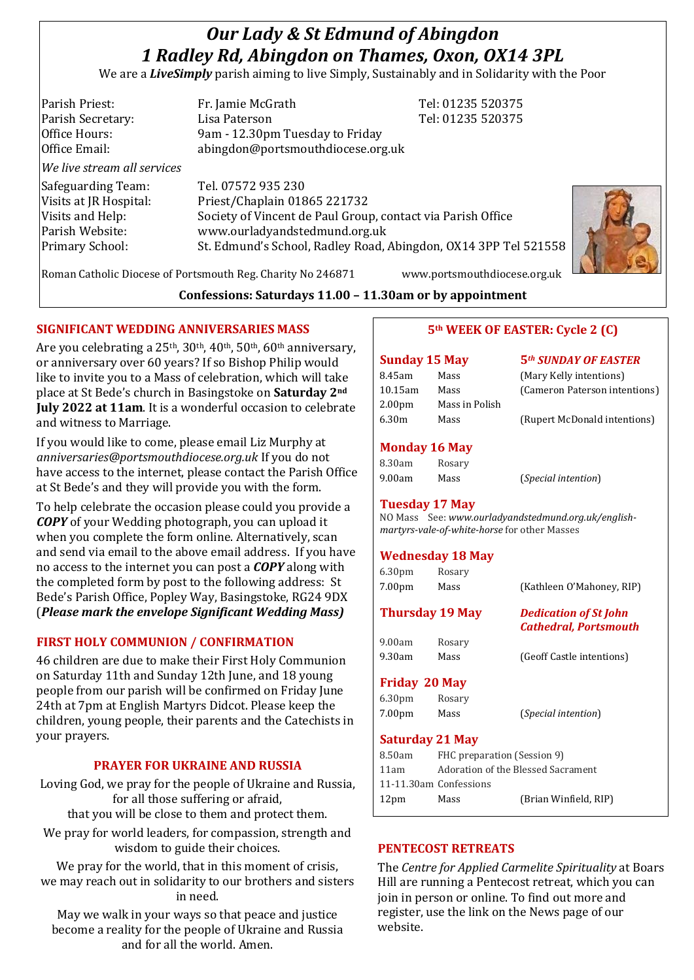# *Our Lady & St Edmund of Abingdon 1 Radley Rd, Abingdon on Thames, Oxon, OX14 3PL*

We are a *LiveSimply* parish aiming to live Simply, Sustainably and in Solidarity with the Poor

Parish Priest: Fr. Jamie McGrath Tel: 01235 520375 Parish Secretary: Tel: 01235 520375 Office Hours: 9am - 12.30pm Tuesday to Friday Office Email: abingdon@portsmouthdiocese.org.uk *We live stream all services* Safeguarding Team: Tel. 07572 935 230 Visits at JR Hospital: Priest/Chaplain 01865 221732 Visits and Help: Society of Vincent de Paul Group, contact via Parish Office Parish Website: www.ourladyandstedmund.org.uk Primary School: St. Edmund's School, Radley Road, Abingdon, OX14 3PP Tel 521558

Roman Catholic Diocese of Portsmouth Reg. Charity No 246871 www.portsmouthdiocese.org.uk

**Confessions: Saturdays 11.00 – 11.30am or by appointment**

## **SIGNIFICANT WEDDING ANNIVERSARIES MASS**

Are you celebrating a 25<sup>th</sup>, 30<sup>th</sup>, 40<sup>th</sup>, 50<sup>th</sup>, 60<sup>th</sup> anniversary, or anniversary over 60 years? If so Bishop Philip would like to invite you to a Mass of celebration, which will take place at St Bede's church in Basingstoke on **Saturday 2nd July 2022 at 11am**. It is a wonderful occasion to celebrate and witness to Marriage.

If you would like to come, please email Liz Murphy at *anniversaries@portsmouthdiocese.org.uk* If you do not have access to the internet, please contact the Parish Office at St Bede's and they will provide you with the form.

To help celebrate the occasion please could you provide a *COPY* of your Wedding photograph, you can upload it when you complete the form online. Alternatively, scan and send via email to the above email address. If you have no access to the internet you can post a *COPY* along with the completed form by post to the following address: St Bede's Parish Office, Popley Way, Basingstoke, RG24 9DX (*Please mark the envelope Significant Wedding Mass)*

## **FIRST HOLY COMMUNION / CONFIRMATION**

46 children are due to make their First Holy Communion on Saturday 11th and Sunday 12th June, and 18 young people from our parish will be confirmed on Friday June 24th at 7pm at English Martyrs Didcot. Please keep the children, young people, their parents and the Catechists in your prayers.

#### **PRAYER FOR UKRAINE AND RUSSIA**

Loving God, we pray for the people of Ukraine and Russia, for all those suffering or afraid, that you will be close to them and protect them.

We pray for world leaders, for compassion, strength and wisdom to guide their choices.

We pray for the world, that in this moment of crisis. we may reach out in solidarity to our brothers and sisters in need.

May we walk in your ways so that peace and justice become a reality for the people of Ukraine and Russia and for all the world. Amen.

## **5th WEEK OF EASTER: Cycle 2 (C)**

| <b>Sunday 15 May</b> |                | <b>5th SUNDAY OF EASTER</b>   |
|----------------------|----------------|-------------------------------|
| 8.45am               | Mass           | (Mary Kelly intentions)       |
| $10.15$ am           | Mass           | (Cameron Paterson intentions) |
| 2.00 <sub>pm</sub>   | Mass in Polish |                               |
| 6.30m                | Mass           | (Rupert McDonald intentions)  |

#### **Monday 16 May**

| 8.30am | Rosary |
|--------|--------|
| 9.00am | Mass   |

**Tuesday 17 May** 

NO Mass See: *www.ourladyandstedmund.org.uk/englishmartyrs-vale-of-white-horse* for other Masses

(*Special intention*)

#### **Wednesday 18 May**

| 6.30 <sub>pm</sub>   | Rosary                 |                                                              |  |
|----------------------|------------------------|--------------------------------------------------------------|--|
| 7.00 <sub>pm</sub>   | Mass                   | (Kathleen O'Mahoney, RIP)                                    |  |
|                      | <b>Thursday 19 May</b> | <b>Dedication of St John</b><br><b>Cathedral, Portsmouth</b> |  |
| 9.00am               | Rosary                 |                                                              |  |
| 9.30am               | Mass                   | (Geoff Castle intentions)                                    |  |
| <b>Friday 20 May</b> |                        |                                                              |  |
| 6.30 <sub>pm</sub>   | Rosary                 |                                                              |  |
| 7.00 <sub>pm</sub>   | Mass                   | <i>(Special intention)</i>                                   |  |
|                      | <b>Saturday 21 May</b> |                                                              |  |
| 8.50am               |                        | FHC preparation (Session 9)                                  |  |

| 8.50am                 | FHC preparation (Session 9)        |                       |
|------------------------|------------------------------------|-----------------------|
| 11am                   | Adoration of the Blessed Sacrament |                       |
| 11-11.30am Confessions |                                    |                       |
| 12 <sub>pm</sub>       | Mass                               | (Brian Winfield, RIP) |
|                        |                                    |                       |

#### **PENTECOST RETREATS**

The *Centre for Applied Carmelite Spirituality* at Boars Hill are running a Pentecost retreat, which you can join in person or online. To find out more and register, use the link on the News page of our website.